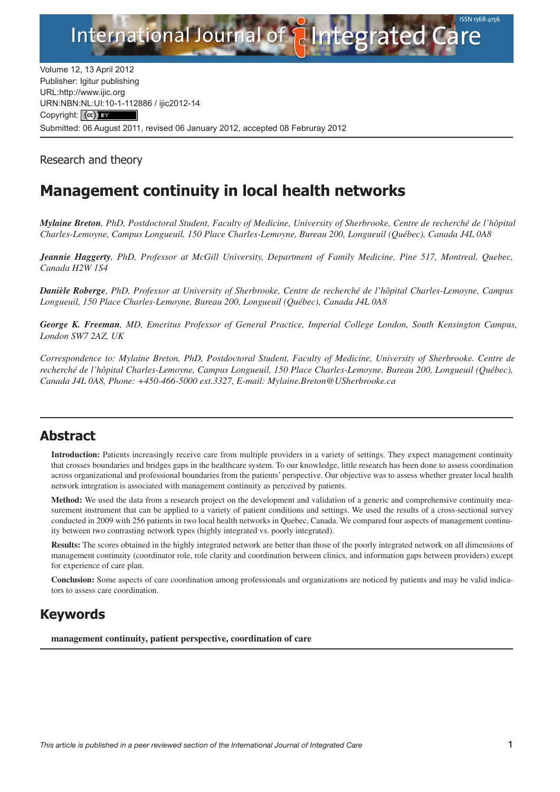

Volume 12, 13 April 2012 Publisher: Igitur publishing URL[:http://www.ijic.org](http://www.ijic.org) URN:NBN[:NL:UI:10-1-1128](http://creativecommons.org/licenses/by/3.0/)86 / ijic2012-14 Copyright: (cc) BY Submitted: 06 August 2011, revised 06 January 2012, accepted 08 Februray 2012

Research and theory

# **Management continuity in local health networks**

*Mylaine Breton, PhD, Postdoctoral Student, Faculty of Medicine, University of Sherbrooke, Centre de recherché de l'hôpital Charles-Lemoyne, Campus Longueuil, 150 Place Charles-Lemoyne, Bureau 200, Longueuil (Québec), Canada J4L 0A8*

*Jeannie Haggerty, PhD, Professor at McGill University, Department of Family Medicine, Pine 517, Montreal, Quebec, Canada H2W 1S4*

*Danièle Roberge, PhD, Professor at University of Sherbrooke, Centre de recherché de l'hôpital Charles-Lemoyne, Campus Longueuil, 150 Place Charles-Lemoyne, Bureau 200, Longueuil (Québec), Canada J4L 0A8*

*George K. Freeman, MD, Emeritus Professor of General Practice, Imperial College London, South Kensington Campus, London SW7 2AZ, UK*

*Correspondence to: Mylaine Breton, PhD, Postdoctoral Student, Faculty of Medicine, University of Sherbrooke. Centre de recherché de l'hôpital Charles-Lemoyne, Campus Longueuil, 150 Place Charles-Lemoyne, Bureau 200, Longueuil (Québec), Canada J4L 0A8, Phone: +450-466-5000 ext.3327, E-mail: [Mylaine.Breton@USherbrooke.ca](mailto:Mylaine.Breton@USherbrooke.ca)*

#### **Abstract**

**Introduction:** Patients increasingly receive care from multiple providers in a variety of settings. They expect management continuity that crosses boundaries and bridges gaps in the healthcare system. To our knowledge, little research has been done to assess coordination across organizational and professional boundaries from the patients' perspective. Our objective was to assess whether greater local health network integration is associated with management continuity as perceived by patients.

**Method:** We used the data from a research project on the development and validation of a generic and comprehensive continuity measurement instrument that can be applied to a variety of patient conditions and settings. We used the results of a cross-sectional survey conducted in 2009 with 256 patients in two local health networks in Quebec, Canada. We compared four aspects of management continuity between two contrasting network types (highly integrated vs. poorly integrated).

**Results:** The scores obtained in the highly integrated network are better than those of the poorly integrated network on all dimensions of management continuity (coordinator role, role clarity and coordination between clinics, and information gaps between providers) except for experience of care plan.

**Conclusion:** Some aspects of care coordination among professionals and organizations are noticed by patients and may be valid indicators to assess care coordination.

# **Keywords**

**management continuity, patient perspective, coordination of care**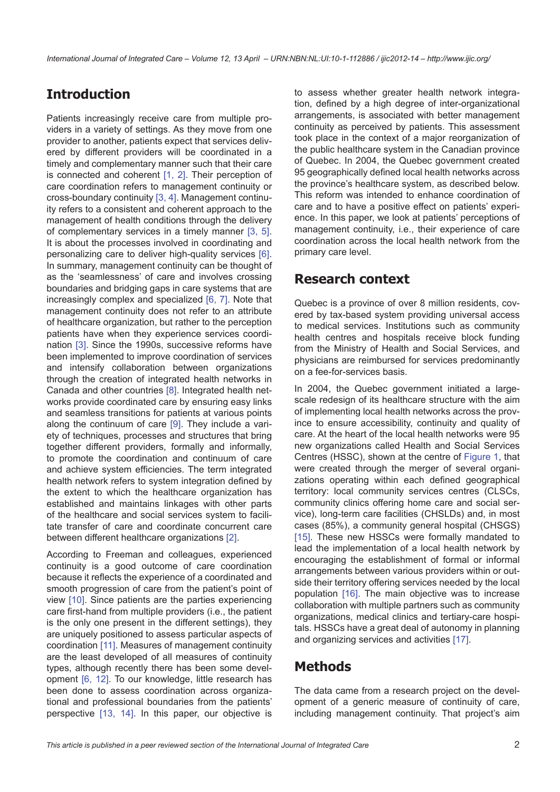# **Introduction**

Patients increasingly receive care from multiple providers in a variety of settings. As they move from one provider to another, patients expect that services delivered by different providers will be coordinated in a timely and complementary manner such that their care is connected and coherent [[1](#page-8-0), [2](#page-8-0)]. Their perception of care coordination refers to management continuity or cross-boundary continuity [\[3](#page-8-0), [4\]](#page-8-0). Management continuity refers to a consistent and coherent approach to the management of health conditions through the delivery of complementary services in a timely manner [[3](#page-8-0), [5\]](#page-8-0). It is about the processes involved in coordinating and personalizing care to deliver high-quality services [\[6\]](#page-8-0). In summary, management continuity can be thought of as the 'seamlessness' of care and involves crossing boundaries and bridging gaps in care systems that are increasingly complex and specialized [[6](#page-8-0), [7](#page-8-0)]. Note that management continuity does not refer to an attribute of healthcare organization, but rather to the perception patients have when they experience services coordination [\[3\]](#page-8-0). Since the 1990s, successive reforms have been implemented to improve coordination of services and intensify collaboration between organizations through the creation of integrated health networks in Canada and other countries [[8](#page-8-0)]. Integrated health networks provide coordinated care by ensuring easy links and seamless transitions for patients at various points along the continuum of care [[9](#page-8-0)]. They include a variety of techniques, processes and structures that bring together different providers, formally and informally, to promote the coordination and continuum of care and achieve system efficiencies. The term integrated health network refers to system integration defined by the extent to which the healthcare organization has established and maintains linkages with other parts of the healthcare and social services system to facilitate transfer of care and coordinate concurrent care between different healthcare organizations [\[2\]](#page-8-0).

According to Freeman and colleagues, experienced continuity is a good outcome of care coordination because it reflects the experience of a coordinated and smooth progression of care from the patient's point of view [[10](#page-8-0)]. Since patients are the parties experiencing care first-hand from multiple providers (i.e., the patient is the only one present in the different settings), they are uniquely positioned to assess particular aspects of coordination [[11\]](#page-8-0). Measures of management continuity are the least developed of all measures of continuity types, although recently there has been some development [[6](#page-8-0), [12\]](#page-8-0). To our knowledge, little research has been done to assess coordination across organizational and professional boundaries from the patients' perspective [[13,](#page-8-0) [14](#page-8-0)]. In this paper, our objective is to assess whether greater health network integration, defined by a high degree of inter-organizational arrangements, is associated with better management continuity as perceived by patients. This assessment took place in the context of a major reorganization of the public healthcare system in the Canadian province of Quebec. In 2004, the Quebec government created 95 geographically defined local health networks across the province's healthcare system, as described below. This reform was intended to enhance coordination of care and to have a positive effect on patients' experience. In this paper, we look at patients' perceptions of management continuity, i.e., their experience of care coordination across the local health network from the primary care level.

### **Research context**

Quebec is a province of over 8 million residents, covered by tax-based system providing universal access to medical services. Institutions such as community health centres and hospitals receive block funding from the Ministry of Health and Social Services, and physicians are reimbursed for services predominantly on a fee-for-services basis.

In 2004, the Quebec government initiated a largescale redesign of its healthcare structure with the aim of implementing local health networks across the province to ensure accessibility, continuity and quality of care. At the heart of the local health networks were 95 new organizations called Health and Social Services Centres (HSSC), shown at the centre of [Figure 1](#page-2-0), that were created through the merger of several organizations operating within each defined geographical territory: local community services centres (CLSCs, community clinics offering home care and social service), long-term care facilities (CHSLDs) and, in most cases (85%), a community general hospital (CHSGS) [[15](#page-8-0)]. These new HSSCs were formally mandated to lead the implementation of a local health network by encouraging the establishment of formal or informal arrangements between various providers within or outside their territory offering services needed by the local population [[16\]](#page-8-0). The main objective was to increase collaboration with multiple partners such as community organizations, medical clinics and tertiary-care hospitals. HSSCs have a great deal of autonomy in planning and organizing services and activities [\[17\]](#page-8-0).

### **Methods**

The data came from a research project on the development of a generic measure of continuity of care, including management continuity. That project's aim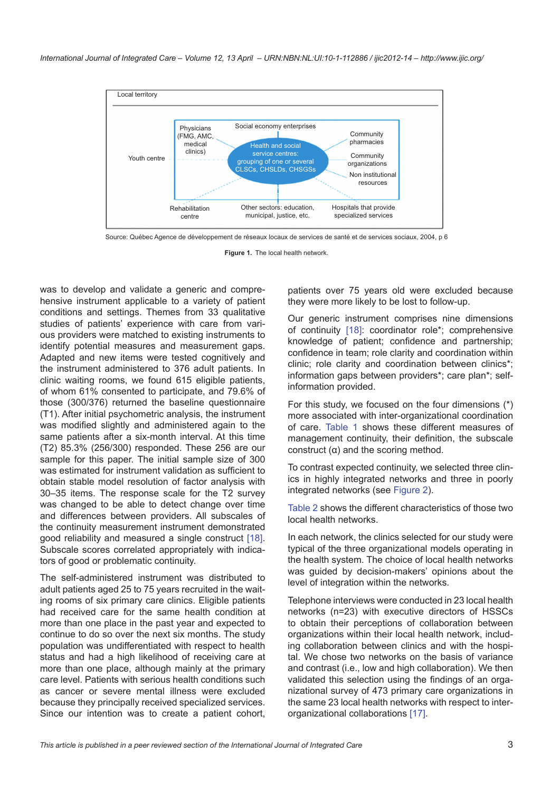

Source: Québec Agence de développement de réseaux locaux de services de santé et de services sociaux, 2004, p 6

**Figure 1.** The local health network.

was to develop and validate a generic and comprehensive instrument applicable to a variety of patient conditions and settings. Themes from 33 qualitative studies of patients' experience with care from various providers were matched to existing instruments to identify potential measures and measurement gaps. Adapted and new items were tested cognitively and the instrument administered to 376 adult patients. In clinic waiting rooms, we found 615 eligible patients, of whom 61% consented to participate, and 79.6% of those (300/376) returned the baseline questionnaire (T1). After initial psychometric analysis, the instrument was modified slightly and administered again to the same patients after a six-month interval. At this time (T2) 85.3% (256/300) responded. These 256 are our sample for this paper. The initial sample size of 300 was estimated for instrument validation as sufficient to obtain stable model resolution of factor analysis with 30–35 items. The response scale for the T2 survey was changed to be able to detect change over time and differences between providers. All subscales of the continuity measurement instrument demonstrated good reliability and measured a single construct [\[18](#page-8-0)]. Subscale scores correlated appropriately with indicators of good or problematic continuity.

The self-administered instrument was distributed to adult patients aged 25 to 75 years recruited in the waiting rooms of six primary care clinics. Eligible patients had received care for the same health condition at more than one place in the past year and expected to continue to do so over the next six months. The study population was undifferentiated with respect to health status and had a high likelihood of receiving care at more than one place, although mainly at the primary care level. Patients with serious health conditions such as cancer or severe mental illness were excluded because they principally received specialized services. Since our intention was to create a patient cohort,

<span id="page-2-0"></span>patients over 75 years old were excluded because they were more likely to be lost to follow-up.

Our generic instrument comprises nine dimensions of continuity [[18\]](#page-8-0): coordinator role\*; comprehensive knowledge of patient; confidence and partnership; confidence in team; role clarity and coordination within clinic; role clarity and coordination between clinics\*; information gaps between providers\*; care plan\*; selfinformation provided.

For this study, we focused on the four dimensions (\*) more associated with inter-organizational coordination of care. [Table 1](#page-3-0) shows these different measures of management continuity, their definition, the subscale construct (α) and the scoring method.

To contrast expected continuity, we selected three clinics in highly integrated networks and three in poorly integrated networks (see [Figure 2](#page-4-0)).

[Table 2](#page-5-0) shows the different characteristics of those two local health networks.

In each network, the clinics selected for our study were typical of the three organizational models operating in the health system. The choice of local health networks was guided by decision-makers' opinions about the level of integration within the networks.

Telephone interviews were conducted in 23 local health networks (n=23) with executive directors of HSSCs to obtain their perceptions of collaboration between organizations within their local health network, including collaboration between clinics and with the hospital. We chose two networks on the basis of variance and contrast (i.e., low and high collaboration). We then validated this selection using the findings of an organizational survey of 473 primary care organizations in the same 23 local health networks with respect to interorganizational collaborations [\[17\]](#page-8-0).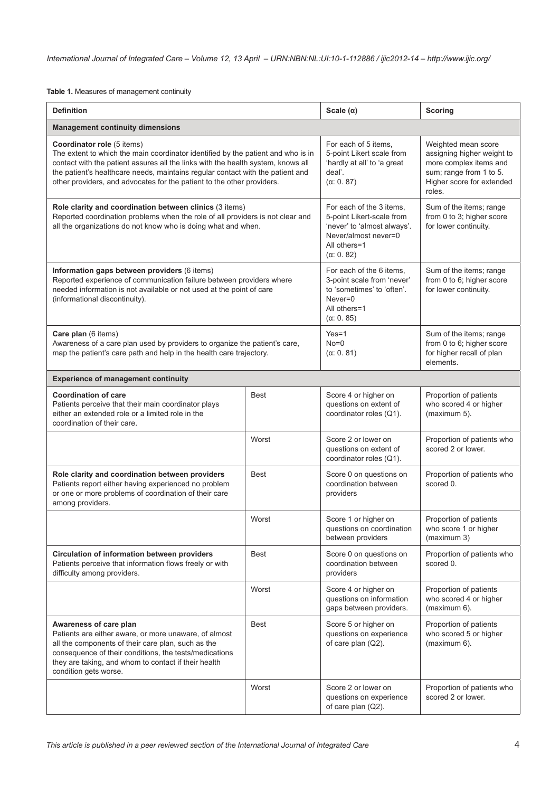<span id="page-3-0"></span>**Table 1.** Measures of management continuity

| <b>Definition</b>                                                                                                                                                                                                                                                                                                                                              | Scale $(\alpha)$                                                                                                                                 | <b>Scoring</b>                                                                                                                                                                                                           |                                                                  |  |  |
|----------------------------------------------------------------------------------------------------------------------------------------------------------------------------------------------------------------------------------------------------------------------------------------------------------------------------------------------------------------|--------------------------------------------------------------------------------------------------------------------------------------------------|--------------------------------------------------------------------------------------------------------------------------------------------------------------------------------------------------------------------------|------------------------------------------------------------------|--|--|
| <b>Management continuity dimensions</b>                                                                                                                                                                                                                                                                                                                        |                                                                                                                                                  |                                                                                                                                                                                                                          |                                                                  |  |  |
| Coordinator role (5 items)<br>The extent to which the main coordinator identified by the patient and who is in<br>contact with the patient assures all the links with the health system, knows all<br>the patient's healthcare needs, maintains regular contact with the patient and<br>other providers, and advocates for the patient to the other providers. | For each of 5 items,<br>5-point Likert scale from<br>'hardly at all' to 'a great<br>deal'.<br>$(\alpha: 0.87)$                                   | Weighted mean score<br>assigning higher weight to<br>more complex items and<br>sum; range from 1 to 5.<br>Higher score for extended<br>roles.                                                                            |                                                                  |  |  |
| Role clarity and coordination between clinics (3 items)<br>Reported coordination problems when the role of all providers is not clear and<br>all the organizations do not know who is doing what and when.                                                                                                                                                     | For each of the 3 items.<br>5-point Likert-scale from<br>'never' to 'almost always'.<br>Never/almost never=0<br>All others=1<br>$(\alpha: 0.82)$ | Sum of the items; range<br>from 0 to 3; higher score<br>for lower continuity.                                                                                                                                            |                                                                  |  |  |
| Information gaps between providers (6 items)<br>Reported experience of communication failure between providers where<br>needed information is not available or not used at the point of care<br>(informational discontinuity).                                                                                                                                 |                                                                                                                                                  | For each of the 6 items,<br>Sum of the items; range<br>3-point scale from 'never'<br>from 0 to 6; higher score<br>to 'sometimes' to 'often'.<br>for lower continuity.<br>$Never = 0$<br>All others=1<br>$(\alpha: 0.85)$ |                                                                  |  |  |
| Care plan (6 items)<br>Awareness of a care plan used by providers to organize the patient's care,<br>map the patient's care path and help in the health care trajectory.                                                                                                                                                                                       | $Yes=1$<br>$No = 0$<br>$(\alpha: 0.81)$                                                                                                          | Sum of the items; range<br>from 0 to 6; higher score<br>for higher recall of plan<br>elements.                                                                                                                           |                                                                  |  |  |
| <b>Experience of management continuity</b>                                                                                                                                                                                                                                                                                                                     |                                                                                                                                                  |                                                                                                                                                                                                                          |                                                                  |  |  |
| <b>Coordination of care</b><br>Patients perceive that their main coordinator plays<br>either an extended role or a limited role in the<br>coordination of their care.                                                                                                                                                                                          | <b>Best</b>                                                                                                                                      | Score 4 or higher on<br>questions on extent of<br>coordinator roles (Q1).                                                                                                                                                | Proportion of patients<br>who scored 4 or higher<br>(maximum 5). |  |  |
|                                                                                                                                                                                                                                                                                                                                                                | Worst                                                                                                                                            | Score 2 or lower on<br>questions on extent of<br>coordinator roles (Q1).                                                                                                                                                 | Proportion of patients who<br>scored 2 or lower.                 |  |  |
| Role clarity and coordination between providers<br>Patients report either having experienced no problem<br>or one or more problems of coordination of their care<br>among providers.                                                                                                                                                                           | <b>Best</b>                                                                                                                                      | Score 0 on questions on<br>coordination between<br>providers                                                                                                                                                             | Proportion of patients who<br>scored 0.                          |  |  |
|                                                                                                                                                                                                                                                                                                                                                                | Worst                                                                                                                                            | Score 1 or higher on<br>questions on coordination<br>between providers                                                                                                                                                   | Proportion of patients<br>who score 1 or higher<br>(maximum 3)   |  |  |
| Circulation of information between providers<br>Patients perceive that information flows freely or with<br>difficulty among providers.                                                                                                                                                                                                                         | <b>Best</b>                                                                                                                                      | Score 0 on questions on<br>coordination between<br>providers                                                                                                                                                             | Proportion of patients who<br>scored 0.                          |  |  |
|                                                                                                                                                                                                                                                                                                                                                                | Worst                                                                                                                                            | Score 4 or higher on<br>questions on information<br>gaps between providers.                                                                                                                                              | Proportion of patients<br>who scored 4 or higher<br>(maximum 6). |  |  |
| Awareness of care plan<br>Patients are either aware, or more unaware, of almost<br>all the components of their care plan, such as the<br>consequence of their conditions, the tests/medications<br>they are taking, and whom to contact if their health<br>condition gets worse.                                                                               | Best                                                                                                                                             | Score 5 or higher on<br>questions on experience<br>of care plan (Q2).                                                                                                                                                    | Proportion of patients<br>who scored 5 or higher<br>(maximum 6). |  |  |
|                                                                                                                                                                                                                                                                                                                                                                | Worst                                                                                                                                            | Score 2 or lower on<br>questions on experience<br>of care plan (Q2).                                                                                                                                                     | Proportion of patients who<br>scored 2 or lower.                 |  |  |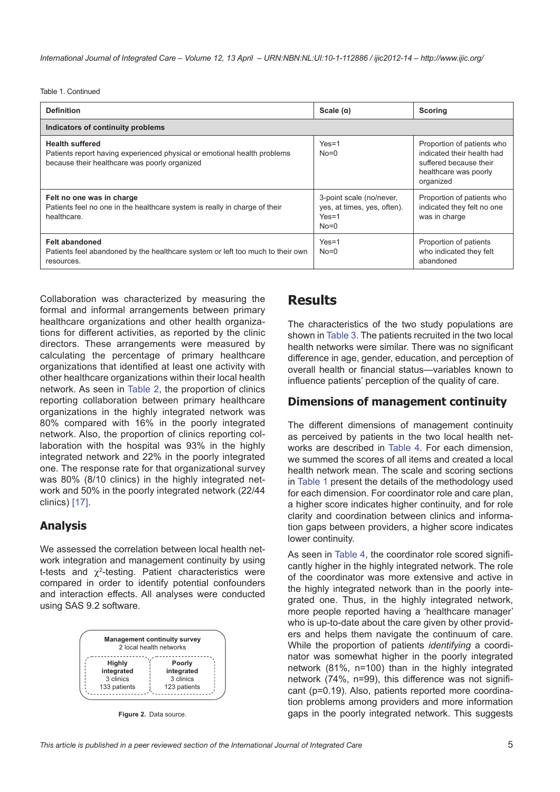Table 1. Continued

| <b>Definition</b>                                                                                                                                   | Scale $(\alpha)$                                                             | <b>Scoring</b>                                                                                                           |
|-----------------------------------------------------------------------------------------------------------------------------------------------------|------------------------------------------------------------------------------|--------------------------------------------------------------------------------------------------------------------------|
| Indicators of continuity problems                                                                                                                   |                                                                              |                                                                                                                          |
| <b>Health suffered</b><br>Patients report having experienced physical or emotional health problems<br>because their healthcare was poorly organized | $Yes=1$<br>$No=0$                                                            | Proportion of patients who<br>indicated their health had<br>suffered because their<br>healthcare was poorly<br>organized |
| Felt no one was in charge<br>Patients feel no one in the healthcare system is really in charge of their<br>healthcare.                              | 3-point scale (no/never,<br>yes, at times, yes, often).<br>$Yes=1$<br>$No=0$ | Proportion of patients who<br>indicated they felt no one<br>was in charge                                                |
| <b>Felt abandoned</b><br>Patients feel abandoned by the healthcare system or left too much to their own<br>resources.                               | $Yes=1$<br>$No=0$                                                            | Proportion of patients<br>who indicated they felt<br>abandoned                                                           |

Collaboration was characterized by measuring the formal and informal arrangements between primary healthcare organizations and other health organizations for different activities, as reported by the clinic directors. These arrangements were measured by calculating the percentage of primary healthcare organizations that identified at least one activity with other healthcare organizations within their local health network. As seen in [Table 2](#page-5-0), the proportion of clinics reporting collaboration between primary healthcare organizations in the highly integrated network was 80% compared with 16% in the poorly integrated network. Also, the proportion of clinics reporting collaboration with the hospital was 93% in the highly integrated network and 22% in the poorly integrated one. The response rate for that organizational survey was 80% (8/10 clinics) in the highly integrated network and 50% in the poorly integrated network (22/44 clinics) [[17\]](#page-8-0).

#### **Analysis**

We assessed the correlation between local health network integration and management continuity by using t-tests and  $\chi^2$ -testing. Patient characteristics were compared in order to identify potential confounders and interaction effects. All analyses were conducted using SAS 9.2 software.

| <b>Management continuity survey</b><br>2 local health networks |                      |  |  |
|----------------------------------------------------------------|----------------------|--|--|
| Highly<br>integrated                                           | Poorly<br>integrated |  |  |
| 3 clinics                                                      | 3 clinics            |  |  |
| 133 patients                                                   | 123 patients         |  |  |

<span id="page-4-0"></span>**Figure 2.** Data source.

#### **Results**

The characteristics of the two study populations are shown in [Table 3.](#page-5-1) The patients recruited in the two local health networks were similar. There was no significant difference in age, gender, education, and perception of overall health or financial status—variables known to influence patients' perception of the quality of care.

#### **Dimensions of management continuity**

The different dimensions of management continuity as perceived by patients in the two local health networks are described in [Table 4](#page-6-0). For each dimension, we summed the scores of all items and created a local health network mean. The scale and scoring sections in [Table 1](#page-3-0) present the details of the methodology used for each dimension. For coordinator role and care plan, a higher score indicates higher continuity, and for role clarity and coordination between clinics and information gaps between providers, a higher score indicates lower continuity.

As seen in [Table 4](#page-6-0), the coordinator role scored significantly higher in the highly integrated network. The role of the coordinator was more extensive and active in the highly integrated network than in the poorly integrated one. Thus, in the highly integrated network, more people reported having a 'healthcare manager' who is up-to-date about the care given by other providers and helps them navigate the continuum of care. While the proportion of patients *identifying* a coordinator was somewhat higher in the poorly integrated network (81%, n=100) than in the highly integrated network (74%, n=99), this difference was not significant (p=0.19). Also, patients reported more coordination problems among providers and more information gaps in the poorly integrated network. This suggests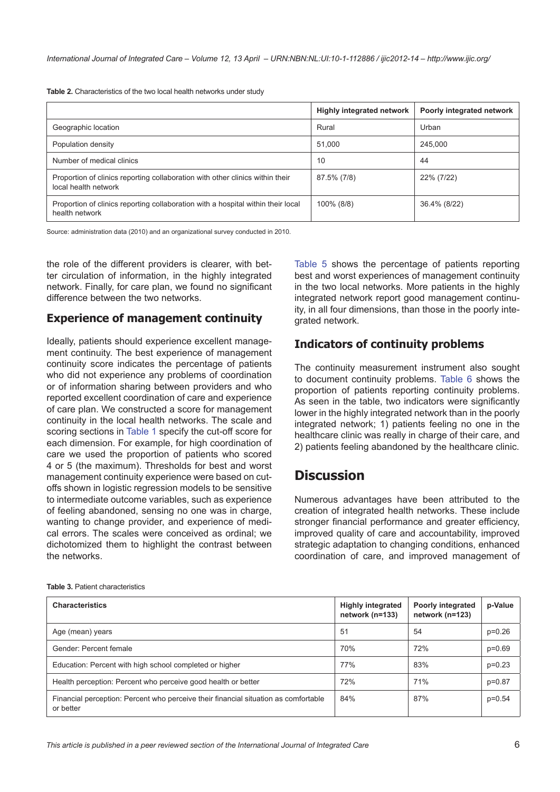<span id="page-5-0"></span>**Table 2.** Characteristics of the two local health networks under study

|                                                                                                       | <b>Highly integrated network</b> | Poorly integrated network |
|-------------------------------------------------------------------------------------------------------|----------------------------------|---------------------------|
| Geographic location                                                                                   | Rural                            | Urban                     |
| Population density                                                                                    | 51.000                           | 245,000                   |
| Number of medical clinics                                                                             | 10                               | 44                        |
| Proportion of clinics reporting collaboration with other clinics within their<br>local health network | 87.5% (7/8)                      | 22% (7/22)                |
| Proportion of clinics reporting collaboration with a hospital within their local<br>health network    | 100% (8/8)                       | 36.4% (8/22)              |

Source: administration data (2010) and an organizational survey conducted in 2010.

the role of the different providers is clearer, with better circulation of information, in the highly integrated network. Finally, for care plan, we found no significant difference between the two networks.

#### **Experience of management continuity**

Ideally, patients should experience excellent management continuity. The best experience of management continuity score indicates the percentage of patients who did not experience any problems of coordination or of information sharing between providers and who reported excellent coordination of care and experience of care plan. We constructed a score for management continuity in the local health networks. The scale and scoring sections in [Table 1](#page-3-0) specify the cut-off score for each dimension. For example, for high coordination of care we used the proportion of patients who scored 4 or 5 (the maximum). Thresholds for best and worst management continuity experience were based on cutoffs shown in logistic regression models to be sensitive to intermediate outcome variables, such as experience of feeling abandoned, sensing no one was in charge, wanting to change provider, and experience of medical errors. The scales were conceived as ordinal; we dichotomized them to highlight the contrast between the networks.

[Table 5](#page-6-1) shows the percentage of patients reporting best and worst experiences of management continuity in the two local networks. More patients in the highly integrated network report good management continuity, in all four dimensions, than those in the poorly integrated network.

#### **Indicators of continuity problems**

The continuity measurement instrument also sought to document continuity problems. [Table 6](#page-7-0) shows the proportion of patients reporting continuity problems. As seen in the table, two indicators were significantly lower in the highly integrated network than in the poorly integrated network; 1) patients feeling no one in the healthcare clinic was really in charge of their care, and 2) patients feeling abandoned by the healthcare clinic.

### **Discussion**

Numerous advantages have been attributed to the creation of integrated health networks. These include stronger financial performance and greater efficiency, improved quality of care and accountability, improved strategic adaptation to changing conditions, enhanced coordination of care, and improved management of

| <b>Characteristics</b>                                                                           | <b>Highly integrated</b><br>network (n=133) | Poorly integrated<br>network (n=123) | p-Value  |
|--------------------------------------------------------------------------------------------------|---------------------------------------------|--------------------------------------|----------|
| Age (mean) years                                                                                 | 51                                          | 54                                   | $p=0.26$ |
| Gender: Percent female                                                                           | 70%                                         | 72%                                  | $p=0.69$ |
| Education: Percent with high school completed or higher                                          | 77%                                         | 83%                                  | $p=0.23$ |
| Health perception: Percent who perceive good health or better                                    | 72%                                         | 71%                                  | $p=0.87$ |
| Financial perception: Percent who perceive their financial situation as comfortable<br>or better | 84%                                         | 87%                                  | $p=0.54$ |

<span id="page-5-1"></span>**Table 3.** Patient characteristics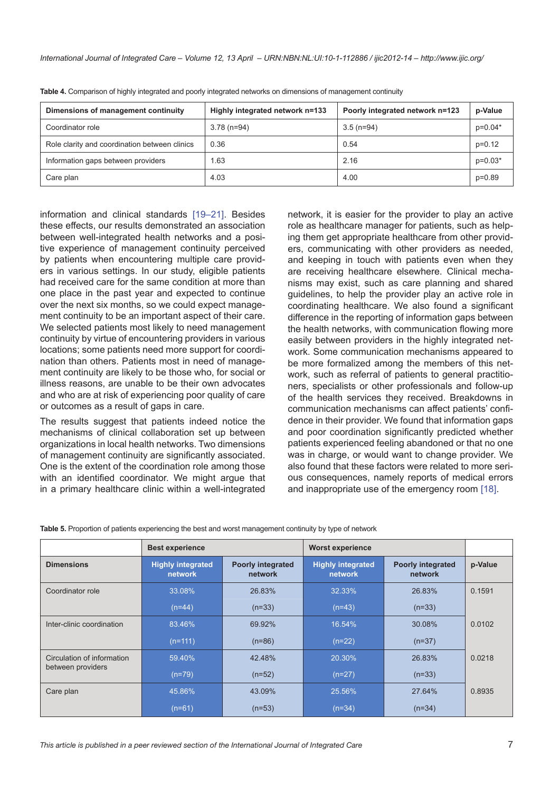| Dimensions of management continuity           | Highly integrated network n=133 | Poorly integrated network n=123 | p-Value   |
|-----------------------------------------------|---------------------------------|---------------------------------|-----------|
| Coordinator role                              | $3.78$ (n=94)                   | $3.5$ (n=94)                    | $p=0.04*$ |
| Role clarity and coordination between clinics | 0.36                            | 0.54                            | $p=0.12$  |
| Information gaps between providers            | 1.63                            | 2.16                            | $p=0.03*$ |
| Care plan                                     | 4.03                            | 4.00                            | $p=0.89$  |

<span id="page-6-0"></span>Table 4. Comparison of highly integrated and poorly integrated networks on dimensions of management continuity

information and clinical standards [[19–21](#page-8-0)]. Besides these effects, our results demonstrated an association between well-integrated health networks and a positive experience of management continuity perceived by patients when encountering multiple care providers in various settings. In our study, eligible patients had received care for the same condition at more than one place in the past year and expected to continue over the next six months, so we could expect management continuity to be an important aspect of their care. We selected patients most likely to need management continuity by virtue of encountering providers in various locations; some patients need more support for coordination than others. Patients most in need of management continuity are likely to be those who, for social or illness reasons, are unable to be their own advocates and who are at risk of experiencing poor quality of care or outcomes as a result of gaps in care.

The results suggest that patients indeed notice the mechanisms of clinical collaboration set up between organizations in local health networks. Two dimensions of management continuity are significantly associated. One is the extent of the coordination role among those with an identified coordinator. We might argue that in a primary healthcare clinic within a well-integrated network, it is easier for the provider to play an active role as healthcare manager for patients, such as helping them get appropriate healthcare from other providers, communicating with other providers as needed, and keeping in touch with patients even when they are receiving healthcare elsewhere. Clinical mechanisms may exist, such as care planning and shared guidelines, to help the provider play an active role in coordinating healthcare. We also found a significant difference in the reporting of information gaps between the health networks, with communication flowing more easily between providers in the highly integrated network. Some communication mechanisms appeared to be more formalized among the members of this network, such as referral of patients to general practitioners, specialists or other professionals and follow-up of the health services they received. Breakdowns in communication mechanisms can affect patients' confidence in their provider. We found that information gaps and poor coordination significantly predicted whether patients experienced feeling abandoned or that no one was in charge, or would want to change provider. We also found that these factors were related to more serious consequences, namely reports of medical errors and inappropriate use of the emergency room [[18](#page-8-0)].

<span id="page-6-1"></span>

|  |  | <b>Table 5.</b> Proportion of patients experiencing the best and worst management continuity by type of network |  |
|--|--|-----------------------------------------------------------------------------------------------------------------|--|
|  |  |                                                                                                                 |  |

|                            | <b>Best experience</b>              |                                     | <b>Worst experience</b>             |                                     |         |
|----------------------------|-------------------------------------|-------------------------------------|-------------------------------------|-------------------------------------|---------|
| <b>Dimensions</b>          | <b>Highly integrated</b><br>network | <b>Poorly integrated</b><br>network | <b>Highly integrated</b><br>network | <b>Poorly integrated</b><br>network | p-Value |
| Coordinator role           | 33.08%                              | 26.83%                              | 32.33%                              | 26.83%                              | 0.1591  |
|                            | $(n=44)$                            | $(n=33)$                            | $(n=43)$                            | $(n=33)$                            |         |
| Inter-clinic coordination  | 83.46%                              | 69.92%                              | 16.54%                              | 30.08%                              | 0.0102  |
|                            | $(n=111)$                           | $(n=86)$                            | $(n=22)$                            | $(n=37)$                            |         |
| Circulation of information | 59.40%                              | 42.48%                              | 20.30%                              | 26.83%                              | 0.0218  |
| between providers          | $(n=79)$                            | $(n=52)$                            | $(n=27)$                            | $(n=33)$                            |         |
| Care plan                  | 45.86%                              | 43.09%                              | 25.56%                              | 27.64%                              | 0.8935  |
|                            | $(n=61)$                            | $(n=53)$                            | $(n=34)$                            | $(n=34)$                            |         |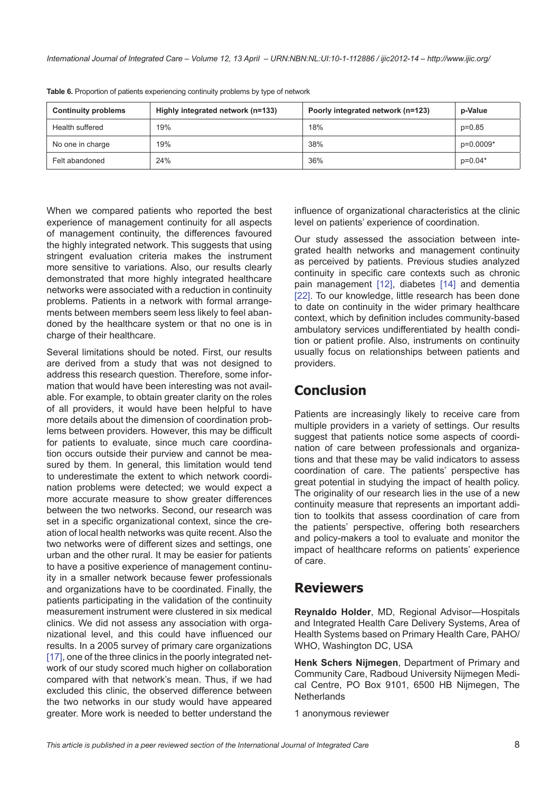| <b>Continuity problems</b> | Highly integrated network (n=133) | Poorly integrated network (n=123) | p-Value   |
|----------------------------|-----------------------------------|-----------------------------------|-----------|
| Health suffered            | 19%                               | 18%                               | $p=0.85$  |
| No one in charge           | 19%                               | 38%                               | p=0.0009* |
| Felt abandoned             | 24%                               | 36%                               | $p=0.04*$ |

<span id="page-7-0"></span>**Table 6.** Proportion of patients experiencing continuity problems by type of network

When we compared patients who reported the best experience of management continuity for all aspects of management continuity, the differences favoured the highly integrated network. This suggests that using stringent evaluation criteria makes the instrument more sensitive to variations. Also, our results clearly demonstrated that more highly integrated healthcare networks were associated with a reduction in continuity problems. Patients in a network with formal arrangements between members seem less likely to feel abandoned by the healthcare system or that no one is in charge of their healthcare.

Several limitations should be noted. First, our results are derived from a study that was not designed to address this research question. Therefore, some information that would have been interesting was not available. For example, to obtain greater clarity on the roles of all providers, it would have been helpful to have more details about the dimension of coordination problems between providers. However, this may be difficult for patients to evaluate, since much care coordination occurs outside their purview and cannot be measured by them. In general, this limitation would tend to underestimate the extent to which network coordination problems were detected; we would expect a more accurate measure to show greater differences between the two networks. Second, our research was set in a specific organizational context, since the creation of local health networks was quite recent. Also the two networks were of different sizes and settings, one urban and the other rural. It may be easier for patients to have a positive experience of management continuity in a smaller network because fewer professionals and organizations have to be coordinated. Finally, the patients participating in the validation of the continuity measurement instrument were clustered in six medical clinics. We did not assess any association with organizational level, and this could have influenced our results. In a 2005 survey of primary care organizations [\[17\]](#page-8-0), one of the three clinics in the poorly integrated network of our study scored much higher on collaboration compared with that network's mean. Thus, if we had excluded this clinic, the observed difference between the two networks in our study would have appeared greater. More work is needed to better understand the influence of organizational characteristics at the clinic level on patients' experience of coordination.

Our study assessed the association between integrated health networks and management continuity as perceived by patients. Previous studies analyzed continuity in specific care contexts such as chronic pain management [\[12\]](#page-8-0), diabetes [[14\]](#page-8-0) and dementia [[22](#page-8-0)]. To our knowledge, little research has been done to date on continuity in the wider primary healthcare context, which by definition includes community-based ambulatory services undifferentiated by health condition or patient profile. Also, instruments on continuity usually focus on relationships between patients and providers.

# **Conclusion**

Patients are increasingly likely to receive care from multiple providers in a variety of settings. Our results suggest that patients notice some aspects of coordination of care between professionals and organizations and that these may be valid indicators to assess coordination of care. The patients' perspective has great potential in studying the impact of health policy. The originality of our research lies in the use of a new continuity measure that represents an important addition to toolkits that assess coordination of care from the patients' perspective, offering both researchers and policy-makers a tool to evaluate and monitor the impact of healthcare reforms on patients' experience of care.

### **Reviewers**

**Reynaldo Holder**, MD, Regional Advisor—Hospitals and Integrated Health Care Delivery Systems, Area of Health Systems based on Primary Health Care, PAHO/ WHO, Washington DC, USA

**Henk Schers Nijmegen**, Department of Primary and Community Care, Radboud University Nijmegen Medical Centre, PO Box 9101, 6500 HB Nijmegen, The **Netherlands** 

1 anonymous reviewer